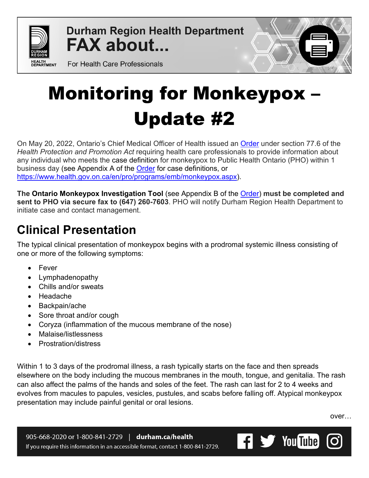

**Durham Region Health Department FAX about...** 



For Health Care Professionals

# Monitoring for Monkeypox – Update #2

On May 20, 2022, Ontario's Chief Medical Officer of Health issued an [Order](https://www.health.gov.on.ca/en/pro/programs/emb/docs/CMOH_77.6_Order_Monkeypox_HCP_PHU.pdf) under section 77.6 of the *Health Protection and Promotion Act* requiring health care professionals to provide information about any individual who meets the case definition for monkeypox to Public Health Ontario (PHO) within 1 business day (see Appendix A of the [Order](https://www.health.gov.on.ca/en/pro/programs/emb/docs/CMOH_77.6_Order_Monkeypox_HCP_PHU.pdf) for case definitions, or [https://www.health.gov.on.ca/en/pro/programs/emb/monkeypox.aspx\)](https://www.health.gov.on.ca/en/pro/programs/emb/monkeypox.aspx).

**The Ontario Monkeypox Investigation Tool** (see Appendix B of the [Order\)](https://www.health.gov.on.ca/en/pro/programs/emb/docs/CMOH_77.6_Order_Monkeypox_HCP_PHU.pdf) **must be completed and sent to PHO via secure fax to (647) 260-7603**. PHO will notify Durham Region Health Department to initiate case and contact management.

#### **Clinical Presentation**

The typical clinical presentation of monkeypox begins with a prodromal systemic illness consisting of one or more of the following symptoms:

- Fever
- Lymphadenopathy
- Chills and/or sweats
- Headache
- Backpain/ache
- Sore throat and/or cough
- Coryza (inflammation of the mucous membrane of the nose)
- Malaise/listlessness
- Prostration/distress

Within 1 to 3 days of the prodromal illness, a rash typically starts on the face and then spreads elsewhere on the body including the mucous membranes in the mouth, tongue, and genitalia. The rash can also affect the palms of the hands and soles of the feet. The rash can last for 2 to 4 weeks and evolves from macules to papules, vesicles, pustules, and scabs before falling off. Atypical monkeypox presentation may include painful genital or oral lesions.

905-668-2020 or 1-800-841-2729 | durham.ca/health If you require this information in an accessible format, contact 1-800-841-2729. over…

**f** S<sup>*y*</sup> You Tube